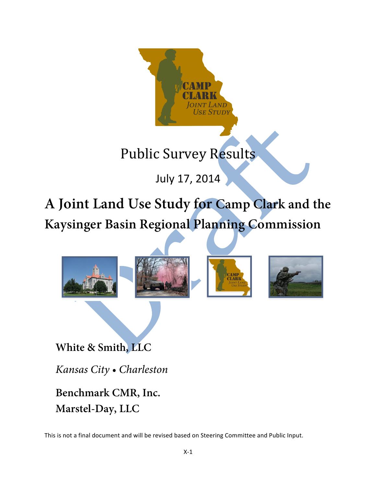

July 17, 2014

**A Joint Land Use Study for Camp Clark and the Kaysinger Basin Regional Planning Commission**



**White & Smith, LLC**

*Kansas City • Charleston*

**Benchmark CMR, Inc. Marstel-Day, LLC**

This is not a final document and will be revised based on Steering Committee and Public Input.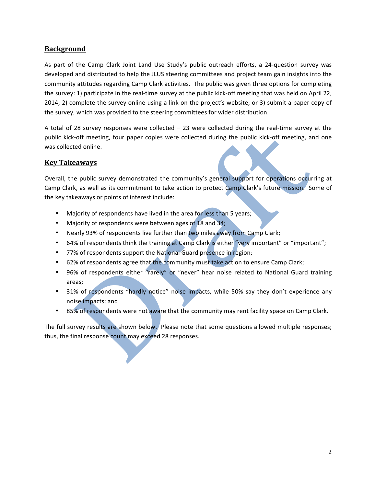# **Background**

As part of the Camp Clark Joint Land Use Study's public outreach efforts, a 24-question survey was developed and distributed to help the JLUS steering committees and project team gain insights into the community attitudes regarding Camp Clark activities. The public was given three options for completing the survey: 1) participate in the real-time survey at the public kick-off meeting that was held on April 22, 2014; 2) complete the survey online using a link on the project's website; or 3) submit a paper copy of the survey, which was provided to the steering committees for wider distribution.

A total of 28 survey responses were collected  $-$  23 were collected during the real-time survey at the public kick-off meeting, four paper copies were collected during the public kick-off meeting, and one was collected online.

# **Key Takeaways**

Overall, the public survey demonstrated the community's general support for operations occurring at Camp Clark, as well as its commitment to take action to protect Camp Clark's future mission. Some of the key takeaways or points of interest include:

- Majority of respondents have lived in the area for less than 5 years;
- Majority of respondents were between ages of 18 and 34;
- Nearly 93% of respondents live further than two miles away from Camp Clark;
- 64% of respondents think the training at Camp Clark is either "very important" or "important";
- 77% of respondents support the National Guard presence in region;
- 62% of respondents agree that the community must take action to ensure Camp Clark;
- 96% of respondents either "rarely" or "never" hear noise related to National Guard training areas;
- 31% of respondents "hardly notice" noise impacts, while 50% say they don't experience any noise impacts; and
- 85% of respondents were not aware that the community may rent facility space on Camp Clark.

The full survey results are shown below. Please note that some questions allowed multiple responses; thus, the final response count may exceed 28 responses.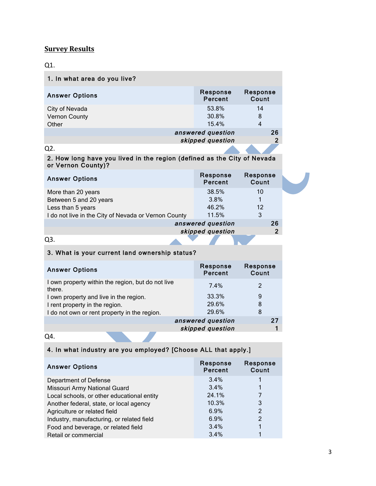# **Survey Results**

Vernon County

# Q1.

| 1. In what area do you live? |                     |              |
|------------------------------|---------------------|--------------|
| <b>Answer Options</b>        | Response<br>Percent | Respo<br>Cou |
| City of Nevada               | 53.8%               | 14           |

| Vernon County | 30.8%             |   |    |
|---------------|-------------------|---|----|
| Other         | 15.4%             | Δ |    |
|               | answered question |   | 26 |
|               | skipped question  |   | n  |
|               |                   |   |    |

Response Count

**The Contract** 

## Q2.

## 2. How long have you lived in the region (defined as the City of Nevada or Vernon County)?

| <b>Answer Options</b>                                | Response<br>Percent | Response<br>Count |  |
|------------------------------------------------------|---------------------|-------------------|--|
| More than 20 years                                   | 38.5%               | 10                |  |
| Between 5 and 20 years                               | 3.8%                |                   |  |
| Less than 5 years                                    | 46.2%               | 12                |  |
| I do not live in the City of Nevada or Vernon County | 11.5%               | 3                 |  |
|                                                      | answered question   | 26                |  |
|                                                      | skipped question    | $\overline{2}$    |  |
|                                                      |                     |                   |  |

## 3. What is your current land ownership status?

| <b>Answer Options</b>                                       | Response<br>Percent | Response<br>Count |
|-------------------------------------------------------------|---------------------|-------------------|
| I own property within the region, but do not live<br>there. | 7.4%                | $\mathcal{P}$     |
| I own property and live in the region.                      | 33.3%               | 9                 |
| I rent property in the region.                              | 29.6%               | 8                 |
| I do not own or rent property in the region.                | 29.6%               | 8                 |
|                                                             | answered question   | 27                |
|                                                             | skipped question    |                   |

Q4.

# 4. In what industry are you employed? [Choose ALL that apply.]

| <b>Answer Options</b>                      | Response<br><b>Percent</b> | Response<br>Count |
|--------------------------------------------|----------------------------|-------------------|
| Department of Defense                      | 3.4%                       |                   |
| Missouri Army National Guard               | 3.4%                       |                   |
| Local schools, or other educational entity | 24.1%                      |                   |
| Another federal, state, or local agency    | 10.3%                      | 3                 |
| Agriculture or related field               | 6.9%                       | 2                 |
| Industry, manufacturing, or related field  | 6.9%                       | 2                 |
| Food and beverage, or related field        | 3.4%                       |                   |
| Retail or commercial                       | 3.4%                       |                   |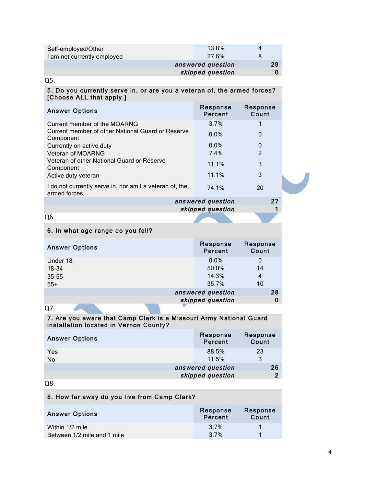| Self-employed/Other         | 13.8%             | 4 |    |
|-----------------------------|-------------------|---|----|
| I am not currently employed | 27.6%             |   |    |
|                             | answered question |   | 29 |
| skipped question            |                   |   | 0  |

Q5. 

## 5. Do you currently serve in, or are you a veteran of, the armed forces? [Choose ALL that apply.]

| <b>Answer Options</b>                                                    | Response<br>Percent | Response<br>Count |
|--------------------------------------------------------------------------|---------------------|-------------------|
| Current member of the MOARNG                                             | 3.7%                |                   |
| Current member of other National Guard or Reserve<br>Component           | 0.0%                | 0                 |
| Currently on active duty                                                 | $0.0\%$             | 0                 |
| <b>Veteran of MOARNG</b>                                                 | 7.4%                | $\mathcal{P}$     |
| Veteran of other National Guard or Reserve<br>Component                  | 11.1%               | 3                 |
| Active duty veteran                                                      | 11.1%               | 3                 |
| I do not currently serve in, nor am I a veteran of, the<br>armed forces. | 74.1%               | 20                |
|                                                                          | answered question   | クフ                |

answered question 27 skipped question 1

Q6.

## 6. In what age range do you fall?

| <b>Answer Options</b> | Response<br>Percent | Response<br>Count |
|-----------------------|---------------------|-------------------|
| Under 18              | $0.0\%$             | 0                 |
| 18-34                 | 50.0%               | 14                |
| 35-55                 | 14.3%               | 4                 |
| $55+$                 | 35.7%               | 10                |
|                       | answered question   | 28                |
|                       | skipped question    |                   |

Q7.

## 7. Are you aware that Camp Clark is a Missouri Army National Guard installation located in Vernon County?

| <b>Answer Options</b> | Response<br>Percent | Response<br>Count |
|-----------------------|---------------------|-------------------|
| Yes<br>No             | 88.5%<br>11.5%      | 23<br>3           |
|                       | answered question   | 26                |
|                       | skipped question    | ົ                 |

## Q8.

# 8. How far away do you live from Camp Clark?

| <b>Answer Options</b>       | Response<br>Percent | Response<br>Count |
|-----------------------------|---------------------|-------------------|
| Within 1/2 mile             | 3.7%                |                   |
| Between 1/2 mile and 1 mile | 3.7%                |                   |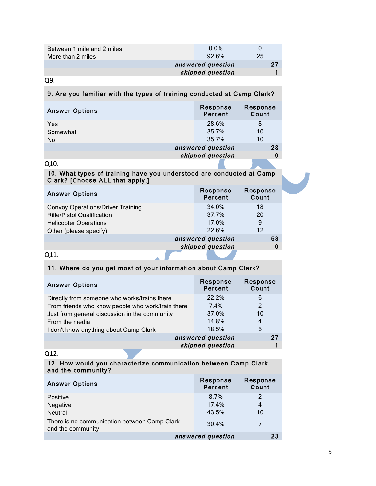| Between 1 mile and 2 miles<br>More than 2 miles | $0.0\%$<br>$92.6\%$ | $\mathbf{U}$<br>25 |  |
|-------------------------------------------------|---------------------|--------------------|--|
|                                                 | answered question   | 27                 |  |
| skipped question                                |                     |                    |  |
|                                                 |                     |                    |  |

Q9.

## 9. Are you familiar with the types of training conducted at Camp Clark?

| <b>Answer Options</b> | Response<br>Percent | Response<br>Count |
|-----------------------|---------------------|-------------------|
| Yes                   | 28.6%               | 8                 |
| Somewhat              | 35.7%               | 10                |
| <b>No</b>             | 35.7%               | 10                |
|                       | answered question   | 28                |
|                       | skipped question    |                   |
| Q10.                  |                     |                   |

## 10. What types of training have you understood are conducted at Camp Clark? [Choose ALL that apply.]

| <b>Answer Options</b>                    | Response<br>Percent | Response<br>Count |    |
|------------------------------------------|---------------------|-------------------|----|
| <b>Convoy Operations/Driver Training</b> | 34.0%               | 18                |    |
| <b>Rifle/Pistol Qualification</b>        | 37.7%               | 20                |    |
| <b>Helicopter Operations</b>             | 17.0%               | 9                 |    |
| Other (please specify)                   | 22.6%               | 12                |    |
|                                          | answered question   |                   | 53 |
|                                          | skipped question    |                   | 0  |
| Q11.                                     |                     |                   |    |

#### Q11.

## 11. Where do you get most of your information about Camp Clark?

| <b>Answer Options</b>                             | Response<br>Percent | Response<br>Count |
|---------------------------------------------------|---------------------|-------------------|
| Directly from someone who works/trains there      | 22.2%               | 6                 |
| From friends who know people who work/train there | 7.4%                | $\overline{2}$    |
| Just from general discussion in the community     | 37.0%               | 10                |
| From the media                                    | 14.8%               | 4                 |
| I don't know anything about Camp Clark            | 18.5%               | 5                 |
| answered question                                 |                     |                   |
|                                                   | skipped question    |                   |

## Q12.

## 12. How would you characterize communication between Camp Clark and the community?

| <b>Answer Options</b>                                             | Response<br>Percent | Response<br>Count |
|-------------------------------------------------------------------|---------------------|-------------------|
| Positive                                                          | 8.7%                | 2                 |
| Negative                                                          | 17.4%               | 4                 |
| <b>Neutral</b>                                                    | 43.5%               | 10                |
| There is no communication between Camp Clark<br>and the community | 30.4%               |                   |
| answered question<br>23                                           |                     |                   |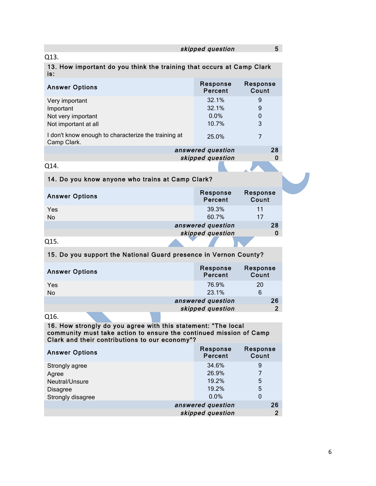| 5<br>skipped question                                                                                                                                                                 |                                          |                              |  |  |
|---------------------------------------------------------------------------------------------------------------------------------------------------------------------------------------|------------------------------------------|------------------------------|--|--|
| Q13.                                                                                                                                                                                  |                                          |                              |  |  |
| 13. How important do you think the training that occurs at Camp Clark<br>is:                                                                                                          |                                          |                              |  |  |
| <b>Answer Options</b>                                                                                                                                                                 | Response<br>Percent                      | Response<br>Count            |  |  |
| Very important<br>Important<br>Not very important<br>Not important at all                                                                                                             | 32.1%<br>32.1%<br>0.0%<br>10.7%          | 9<br>9<br>$\mathbf 0$<br>3   |  |  |
| I don't know enough to characterize the training at<br>Camp Clark.                                                                                                                    | 25.0%                                    | $\overline{7}$               |  |  |
|                                                                                                                                                                                       | answered question                        | 28                           |  |  |
| Q14.                                                                                                                                                                                  | skipped question                         | 0                            |  |  |
|                                                                                                                                                                                       |                                          |                              |  |  |
| 14. Do you know anyone who trains at Camp Clark?                                                                                                                                      |                                          |                              |  |  |
| <b>Answer Options</b>                                                                                                                                                                 | Response<br>Percent                      | Response<br>Count            |  |  |
| Yes<br><b>No</b>                                                                                                                                                                      | 39.3%<br>60.7%                           | 11<br>17                     |  |  |
|                                                                                                                                                                                       | answered question                        | 28                           |  |  |
|                                                                                                                                                                                       | skipped question                         | 0                            |  |  |
| Q15.                                                                                                                                                                                  |                                          |                              |  |  |
| 15. Do you support the National Guard presence in Vernon County?                                                                                                                      |                                          |                              |  |  |
| <b>Answer Options</b>                                                                                                                                                                 | Response<br>Percent                      | Response<br>Count            |  |  |
| Yes                                                                                                                                                                                   | 76.9%                                    | 20                           |  |  |
| No                                                                                                                                                                                    | 23.1%                                    | 6                            |  |  |
|                                                                                                                                                                                       | answered question<br>skipped question    | 26<br>$\overline{2}$         |  |  |
| O <sub>16</sub>                                                                                                                                                                       |                                          |                              |  |  |
| 16. How strongly do you agree with this statement: "The local<br>community must take action to ensure the continued mission of Camp<br>Clark and their contributions to our economy"? |                                          |                              |  |  |
| <b>Answer Options</b>                                                                                                                                                                 | Response<br>Percent                      | Response<br>Count            |  |  |
| Strongly agree<br>Agree<br>Neutral/Unsure<br><b>Disagree</b><br>Strongly disagree                                                                                                     | 34.6%<br>26.9%<br>19.2%<br>19.2%<br>0.0% | 9<br>7<br>5<br>5<br>$\Omega$ |  |  |
|                                                                                                                                                                                       | answered question<br>skipped question    | 26<br>2 <sup>1</sup>         |  |  |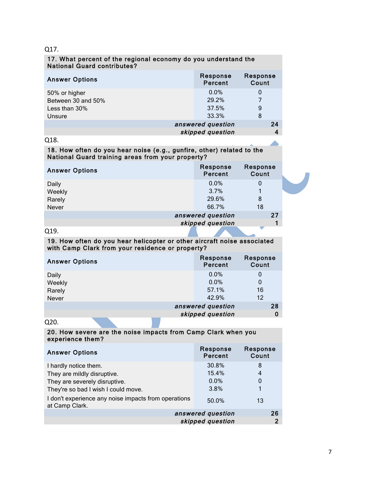## Q17.

## 17. What percent of the regional economy do you understand the National Guard contributes?

| <b>Answer Options</b> | Response<br>Percent | Response<br>Count |
|-----------------------|---------------------|-------------------|
| 50% or higher         | $0.0\%$             | O                 |
| Between 30 and 50%    | 29.2%               |                   |
| Less than 30%         | 37.5%               | 9                 |
| Unsure                | 33.3%               | 8                 |
|                       | answered question   |                   |
|                       | skipped question    |                   |

## Q18.

## 18. How often do you hear noise (e.g., gunfire, other) related to the National Guard training areas from your property?

| <b>Answer Options</b> | Response<br>Percent | Response<br>Count |  |
|-----------------------|---------------------|-------------------|--|
| Daily                 | 0.0%                | 0                 |  |
| Weekly                | 3.7%                |                   |  |
| Rarely                | 29.6%               | 8                 |  |
| Never                 | 66.7%               | 18                |  |
|                       | answered question   | 27                |  |
|                       | skipped question    |                   |  |

## Q19.

#### 19. How often do you hear helicopter or other aircraft noise associated with Camp Clark from your residence or property?

| <b>Answer Options</b> | Response<br>Percent | Response<br>Count |
|-----------------------|---------------------|-------------------|
| Daily                 | $0.0\%$             | 0                 |
| Weekly                | $0.0\%$             | 0                 |
| Rarely                | 57.1%               | 16                |
| Never                 | 42.9%               | 12                |
|                       | answered question   | 28                |
|                       | skipped question    |                   |

Q20.

## 20. How severe are the noise impacts from Camp Clark when you experience them?

| <b>Answer Options</b>                                                  | Response<br>Percent | Response<br>Count |
|------------------------------------------------------------------------|---------------------|-------------------|
| I hardly notice them.                                                  | 30.8%               | 8                 |
| They are mildly disruptive.                                            | 15.4%               | 4                 |
| They are severely disruptive.                                          | 0.0%                | 0                 |
| They're so bad I wish I could move.                                    | 3.8%                |                   |
| I don't experience any noise impacts from operations<br>at Camp Clark. | 50.0%               | 13                |
| answered question<br>26                                                |                     |                   |
| skipped question                                                       |                     | 2                 |